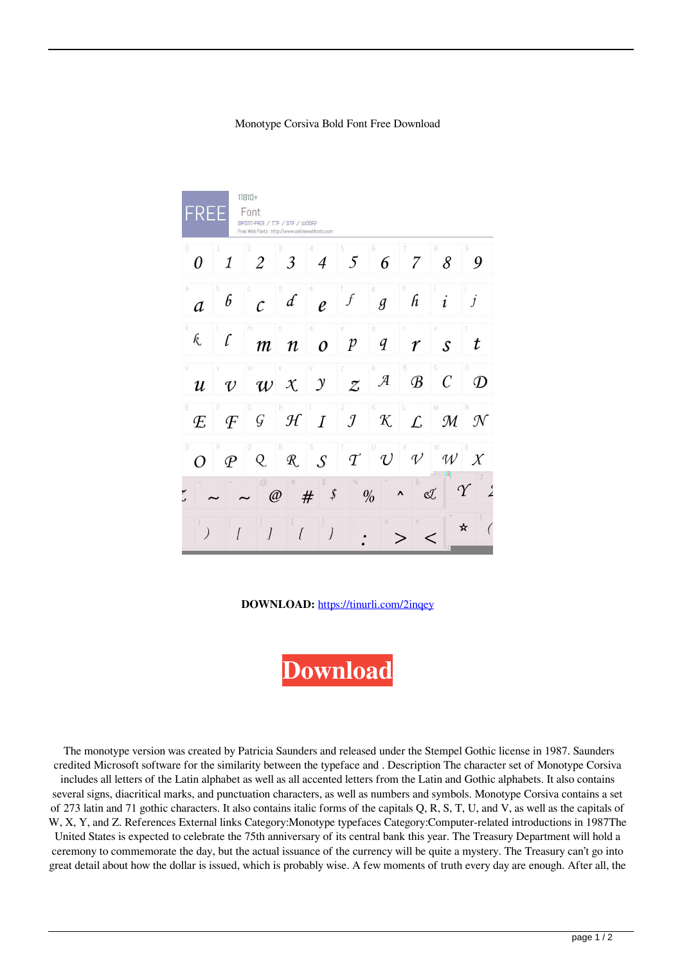## Monotype Corsiva Bold Font Free Download

| $11810+$<br>Font<br>REE<br>@FONT-FACE / TTF / OTF / WOOF2<br>Free Web Fonts : http://www.onlinewebfonts.com                                                         |                           |                        |                        |                                  |                                  |                     |               |                        |                           |
|---------------------------------------------------------------------------------------------------------------------------------------------------------------------|---------------------------|------------------------|------------------------|----------------------------------|----------------------------------|---------------------|---------------|------------------------|---------------------------|
| O<br>0                                                                                                                                                              | $\overline{\mathfrak{1}}$ | $\overline{2}$         | 3<br>3                 | $\overline{4}$                   | 5<br>5                           | 6<br>6              | 7             | 8                      | 9<br>9                    |
| $\overline{a}$<br>a                                                                                                                                                 | h<br>6                    | Ġ.<br>$\mathcal{C}$    | ä<br>$\mathcal{L}$     | e<br>$\ell$                      | f                                | g<br>$\overline{g}$ | h<br>h        | i                      | $\overline{\overline{1}}$ |
| k<br>k.                                                                                                                                                             | ľ                         | m.<br>$\boldsymbol{m}$ | ñ<br>$\boldsymbol{n}$  | $\overline{0}$<br>$\overline{O}$ | j0<br>$\boldsymbol{p}$           | q<br>q              | r             | S<br>$\mathcal{S}_{0}$ | t                         |
| ü.<br>$\boldsymbol{u}$                                                                                                                                              | $\mathcal{U}$             | W<br>$\boldsymbol{w}$  | $\mathcal{X}$          | $\mathcal{Y}$                    | Z<br>$\mathcal{Z}_{\mathcal{L}}$ | $\mathcal{A}$       | B<br>$\cal B$ | C<br>$\overline{C}$    | D.<br>$\mathcal{D}$       |
| E<br>E                                                                                                                                                              | $\overline{F}$            | G<br>G                 | н<br>H                 | $\overline{I}$                   | $\mathcal{I}$                    | ĸ<br>$\mathcal K$   | L             | M<br>M                 | $\mathcal{N}$             |
| $\begin{matrix} 0 \end{matrix}$                                                                                                                                     | $\mathcal P$              | 0<br>Q                 | R<br>$\mathcal{R}_{.}$ | S<br>$\overline{S}$              | $\mathcal{T}$                    | $\mathcal{U}$       | $\mathcal{V}$ | W<br>$\mathcal{U}$     | $\chi$                    |
| \$<br>$\theta$<br>$\circledR$<br>#<br>%<br>$\frac{1}{2}$<br>$\gamma$<br>S.<br>$\rlap{\hspace{.08em}/}5$<br>$\frac{0}{0}$<br>$\boldsymbol{\wedge}$<br>#<br>$\oslash$ |                           |                        |                        |                                  |                                  |                     |               |                        |                           |
|                                                                                                                                                                     | ſ                         | $\overline{I}$         | ſ                      | $\overline{ }$                   |                                  |                     |               | $\left  \cdot \right $ | ☆                         |

**DOWNLOAD:** <https://tinurli.com/2inqey>

**[Download](https://tinurli.com/2inqey)**

 The monotype version was created by Patricia Saunders and released under the Stempel Gothic license in 1987. Saunders credited Microsoft software for the similarity between the typeface and . Description The character set of Monotype Corsiva includes all letters of the Latin alphabet as well as all accented letters from the Latin and Gothic alphabets. It also contains several signs, diacritical marks, and punctuation characters, as well as numbers and symbols. Monotype Corsiva contains a set of 273 latin and 71 gothic characters. It also contains italic forms of the capitals Q, R, S, T, U, and V, as well as the capitals of W, X, Y, and Z. References External links Category:Monotype typefaces Category:Computer-related introductions in 1987The United States is expected to celebrate the 75th anniversary of its central bank this year. The Treasury Department will hold a ceremony to commemorate the day, but the actual issuance of the currency will be quite a mystery. The Treasury can't go into great detail about how the dollar is issued, which is probably wise. A few moments of truth every day are enough. After all, the